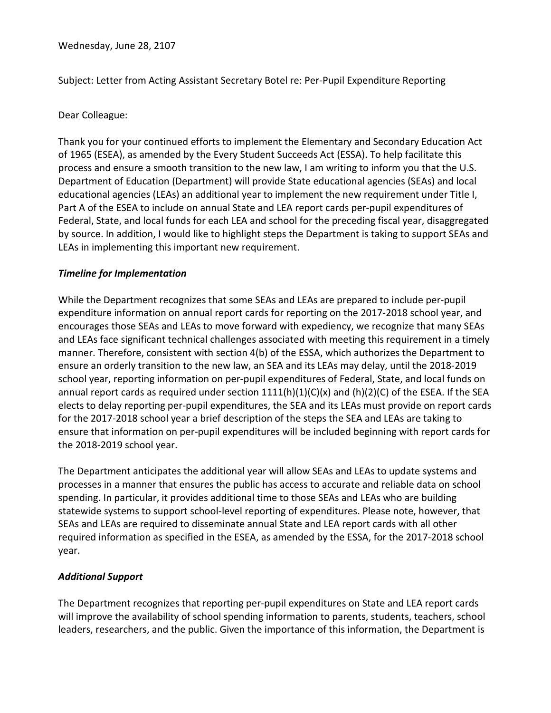Wednesday, June 28, 2107

Subject: Letter from Acting Assistant Secretary Botel re: Per-Pupil Expenditure Reporting

## Dear Colleague:

Thank you for your continued efforts to implement the Elementary and Secondary Education Act of 1965 (ESEA), as amended by the Every Student Succeeds Act (ESSA). To help facilitate this process and ensure a smooth transition to the new law, I am writing to inform you that the U.S. Department of Education (Department) will provide State educational agencies (SEAs) and local educational agencies (LEAs) an additional year to implement the new requirement under Title I, Part A of the ESEA to include on annual State and LEA report cards per-pupil expenditures of Federal, State, and local funds for each LEA and school for the preceding fiscal year, disaggregated by source. In addition, I would like to highlight steps the Department is taking to support SEAs and LEAs in implementing this important new requirement.

## *Timeline for Implementation*

While the Department recognizes that some SEAs and LEAs are prepared to include per-pupil expenditure information on annual report cards for reporting on the 2017-2018 school year, and encourages those SEAs and LEAs to move forward with expediency, we recognize that many SEAs and LEAs face significant technical challenges associated with meeting this requirement in a timely manner. Therefore, consistent with section 4(b) of the ESSA, which authorizes the Department to ensure an orderly transition to the new law, an SEA and its LEAs may delay, until the 2018-2019 school year, reporting information on per-pupil expenditures of Federal, State, and local funds on annual report cards as required under section  $1111(h)(1)(C)(x)$  and  $(h)(2)(C)$  of the ESEA. If the SEA elects to delay reporting per-pupil expenditures, the SEA and its LEAs must provide on report cards for the 2017-2018 school year a brief description of the steps the SEA and LEAs are taking to ensure that information on per-pupil expenditures will be included beginning with report cards for the 2018-2019 school year.

The Department anticipates the additional year will allow SEAs and LEAs to update systems and processes in a manner that ensures the public has access to accurate and reliable data on school spending. In particular, it provides additional time to those SEAs and LEAs who are building statewide systems to support school-level reporting of expenditures. Please note, however, that SEAs and LEAs are required to disseminate annual State and LEA report cards with all other required information as specified in the ESEA, as amended by the ESSA, for the 2017-2018 school year.

## *Additional Support*

The Department recognizes that reporting per-pupil expenditures on State and LEA report cards will improve the availability of school spending information to parents, students, teachers, school leaders, researchers, and the public. Given the importance of this information, the Department is